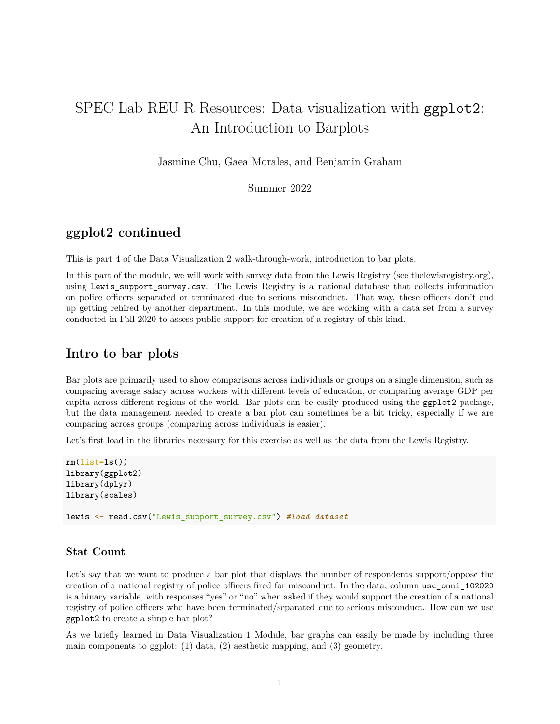# SPEC Lab REU R Resources: Data visualization with ggplot2: An Introduction to Barplots

Jasmine Chu, Gaea Morales, and Benjamin Graham

Summer 2022

## **ggplot2 continued**

This is part 4 of the Data Visualization 2 walk-through-work, introduction to bar plots.

In this part of the module, we will work with survey data from the Lewis Registry (see thelewisregistry.org), using Lewis\_support\_survey.csv. The Lewis Registry is a national database that collects information on police officers separated or terminated due to serious misconduct. That way, these officers don't end up getting rehired by another department. In this module, we are working with a data set from a survey conducted in Fall 2020 to assess public support for creation of a registry of this kind.

### **Intro to bar plots**

Bar plots are primarily used to show comparisons across individuals or groups on a single dimension, such as comparing average salary across workers with different levels of education, or comparing average GDP per capita across different regions of the world. Bar plots can be easily produced using the ggplot2 package, but the data management needed to create a bar plot can sometimes be a bit tricky, especially if we are comparing across groups (comparing across individuals is easier).

Let's first load in the libraries necessary for this exercise as well as the data from the Lewis Registry.

```
rm(list=ls())library(ggplot2)
library(dplyr)
library(scales)
lewis <- read.csv("Lewis_support_survey.csv") #load dataset
```
#### **Stat Count**

Let's say that we want to produce a bar plot that displays the number of respondents support/oppose the creation of a national registry of police officers fired for misconduct. In the data, column usc\_omni\_102020 is a binary variable, with responses "yes" or "no" when asked if they would support the creation of a national registry of police officers who have been terminated/separated due to serious misconduct. How can we use ggplot2 to create a simple bar plot?

As we briefly learned in Data Visualization 1 Module, bar graphs can easily be made by including three main components to ggplot: (1) data, (2) aesthetic mapping, and (3) geometry.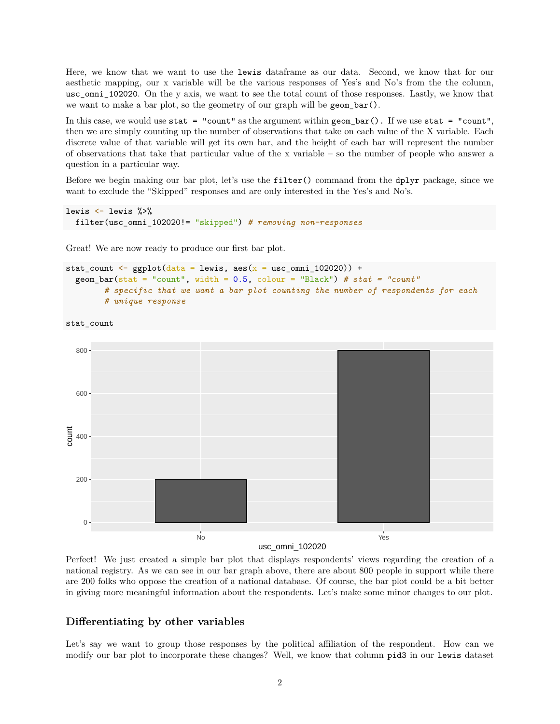Here, we know that we want to use the lewis dataframe as our data. Second, we know that for our aesthetic mapping, our x variable will be the various responses of Yes's and No's from the the column, usc omni 102020. On the y axis, we want to see the total count of those responses. Lastly, we know that we want to make a bar plot, so the geometry of our graph will be geom\_bar().

In this case, we would use stat = "count" as the argument within geom\_bar(). If we use stat = "count", then we are simply counting up the number of observations that take on each value of the X variable. Each discrete value of that variable will get its own bar, and the height of each bar will represent the number of observations that take that particular value of the x variable – so the number of people who answer a question in a particular way.

Before we begin making our bar plot, let's use the filter() command from the dplyr package, since we want to exclude the "Skipped" responses and are only interested in the Yes's and No's.

```
lewis <- lewis %>%
  filter(usc_omni_102020!= "skipped") # removing non-responses
```
Great! We are now ready to produce our first bar plot.

```
stat_count <- ggplot(data = lewis, \text{aes}(x = \text{usc\_omni\_102020)}) +
  geom_bar(stat = "count", width = 0.5, colour = "Black") # stat = "count"
        # specific that we want a bar plot counting the number of respondents for each
        # unique response
```
stat count



usc\_omni\_102020

Perfect! We just created a simple bar plot that displays respondents' views regarding the creation of a national registry. As we can see in our bar graph above, there are about 800 people in support while there are 200 folks who oppose the creation of a national database. Of course, the bar plot could be a bit better in giving more meaningful information about the respondents. Let's make some minor changes to our plot.

#### **Differentiating by other variables**

Let's say we want to group those responses by the political affiliation of the respondent. How can we modify our bar plot to incorporate these changes? Well, we know that column pid3 in our lewis dataset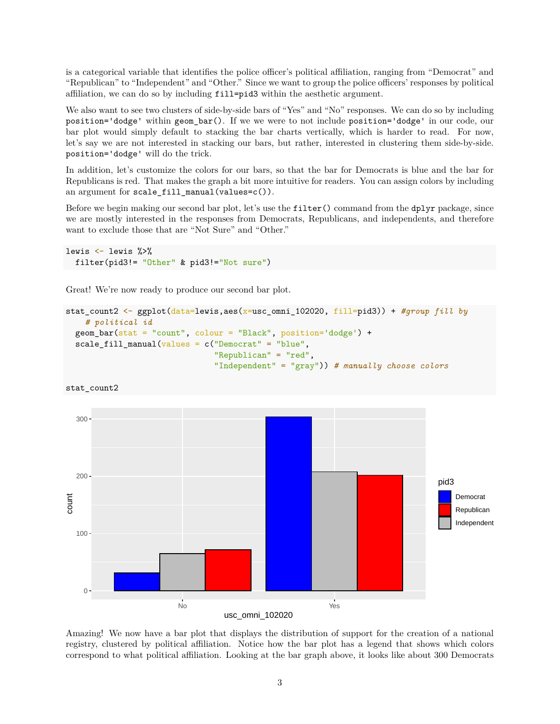is a categorical variable that identifies the police officer's political affiliation, ranging from "Democrat" and "Republican" to "Independent" and "Other." Since we want to group the police officers' responses by political affiliation, we can do so by including fill=pid3 within the aesthetic argument.

We also want to see two clusters of side-by-side bars of "Yes" and "No" responses. We can do so by including position='dodge' within geom\_bar(). If we we were to not include position='dodge' in our code, our bar plot would simply default to stacking the bar charts vertically, which is harder to read. For now, let's say we are not interested in stacking our bars, but rather, interested in clustering them side-by-side. position='dodge' will do the trick.

In addition, let's customize the colors for our bars, so that the bar for Democrats is blue and the bar for Republicans is red. That makes the graph a bit more intuitive for readers. You can assign colors by including an argument for scale\_fill\_manual(values=c()).

Before we begin making our second bar plot, let's use the filter() command from the dplyr package, since we are mostly interested in the responses from Democrats, Republicans, and independents, and therefore want to exclude those that are "Not Sure" and "Other."

```
lewis <- lewis %>%
  filter(pid3!= "Other" & pid3!="Not sure")
```
Great! We're now ready to produce our second bar plot.

```
stat_count2 <- ggplot(data=lewis,aes(x=usc_omni_102020, fill=pid3)) + #group fill by
    # political id
  geom_bar(stat = "count", colour = "Black", position='dodge') +
  scale_fill_manual(values = c("Democrat" = "blue",
                               "Republican" = "red",
                               "Independent" = "gray")) # manually choose colors
```




Amazing! We now have a bar plot that displays the distribution of support for the creation of a national registry, clustered by political affiliation. Notice how the bar plot has a legend that shows which colors correspond to what political affiliation. Looking at the bar graph above, it looks like about 300 Democrats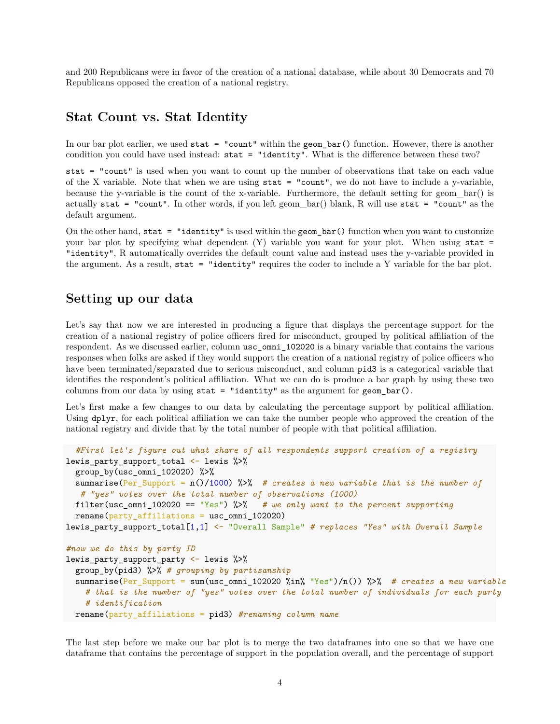and 200 Republicans were in favor of the creation of a national database, while about 30 Democrats and 70 Republicans opposed the creation of a national registry.

### **Stat Count vs. Stat Identity**

In our bar plot earlier, we used stat = "count" within the geom\_bar() function. However, there is another condition you could have used instead: stat = "identity". What is the difference between these two?

stat = "count" is used when you want to count up the number of observations that take on each value of the X variable. Note that when we are using stat = "count", we do not have to include a y-variable, because the y-variable is the count of the x-variable. Furthermore, the default setting for geom\_bar() is actually stat = "count". In other words, if you left geom\_bar() blank, R will use stat = "count" as the default argument.

On the other hand, stat  $=$  "identity" is used within the geom\_bar() function when you want to customize your bar plot by specifying what dependent  $(Y)$  variable you want for your plot. When using stat = "identity", R automatically overrides the default count value and instead uses the y-variable provided in the argument. As a result, stat = "identity" requires the coder to include a Y variable for the bar plot.

## **Setting up our data**

Let's say that now we are interested in producing a figure that displays the percentage support for the creation of a national registry of police officers fired for misconduct, grouped by political affiliation of the respondent. As we discussed earlier, column usc\_omni\_102020 is a binary variable that contains the various responses when folks are asked if they would support the creation of a national registry of police officers who have been terminated/separated due to serious misconduct, and column pid3 is a categorical variable that identifies the respondent's political affiliation. What we can do is produce a bar graph by using these two columns from our data by using  $stat = "identity"$  as the argument for  $geom_bar()$ .

Let's first make a few changes to our data by calculating the percentage support by political affiliation. Using dplyr, for each political affiliation we can take the number people who approved the creation of the national registry and divide that by the total number of people with that political affiliation.

```
#First let's figure out what share of all respondents support creation of a registry
lewis_party_support_total <- lewis %>%
  group_by(usc_omni_102020) %>%
  summarise(Per_Support = n()/1000) %>% # creates a new variable that is the number of
   # "yes" votes over the total number of observations (1000)
  filter(usc_omni_102020 == "Yes") %>% # we only want to the percent supporting
  rename(party_affiliations = usc_omni_102020)
lewis_party_support_total[1,1] <- "Overall Sample" # replaces "Yes" with Overall Sample
#now we do this by party ID
lewis party support party \leftarrow lewis %>%
  group_by(pid3) %>% # grouping by partisanship
  summarise(Per_Support = sum(usc_omni_102020 %in% "Yes")/n()) %>% # creates a new variable
    # that is the number of "yes" votes over the total number of individuals for each party
    # identification
  rename(party_affiliations = pid3) #renaming column name
```
The last step before we make our bar plot is to merge the two dataframes into one so that we have one dataframe that contains the percentage of support in the population overall, and the percentage of support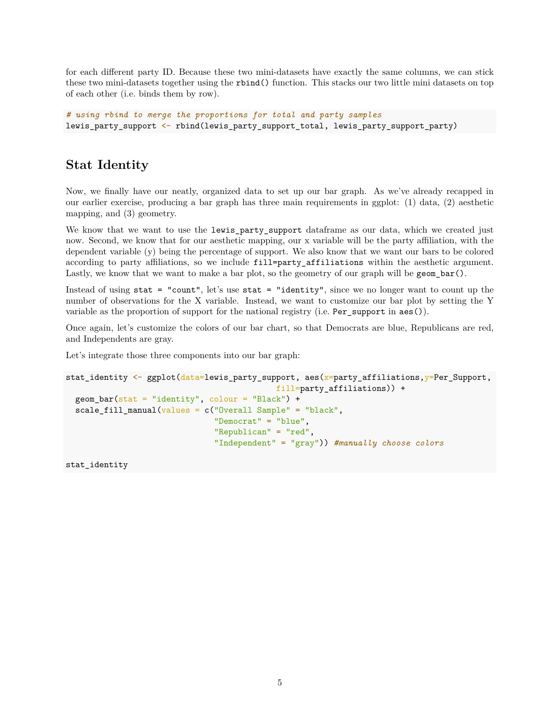for each different party ID. Because these two mini-datasets have exactly the same columns, we can stick these two mini-datasets together using the rbind() function. This stacks our two little mini datasets on top of each other (i.e. binds them by row).

*# using rbind to merge the proportions for total and party samples* lewis\_party\_support <- rbind(lewis\_party\_support\_total, lewis\_party\_support\_party)

# **Stat Identity**

Now, we finally have our neatly, organized data to set up our bar graph. As we've already recapped in our earlier exercise, producing a bar graph has three main requirements in ggplot: (1) data, (2) aesthetic mapping, and (3) geometry.

We know that we want to use the lewis\_party\_support dataframe as our data, which we created just now. Second, we know that for our aesthetic mapping, our x variable will be the party affiliation, with the dependent variable (y) being the percentage of support. We also know that we want our bars to be colored according to party affiliations, so we include fill=party affiliations within the aesthetic argument. Lastly, we know that we want to make a bar plot, so the geometry of our graph will be geom\_bar().

Instead of using stat = "count", let's use stat = "identity", since we no longer want to count up the number of observations for the X variable. Instead, we want to customize our bar plot by setting the Y variable as the proportion of support for the national registry (i.e. Per\_support in aes()).

Once again, let's customize the colors of our bar chart, so that Democrats are blue, Republicans are red, and Independents are gray.

Let's integrate those three components into our bar graph:

```
stat_identity <- ggplot(data=lewis_party_support, aes(x=party_affiliations,y=Per_Support,
                                             fill=party_affiliations)) +
  geom_bar(\text{stat} = "identity", colour = "Black") +scale fill manual(values = c("Overall Sample" = "black","Democrat" = "blue",
                                "Republican" = "red",
                                "Independent" = "gray")) #manually choose colors
```
stat\_identity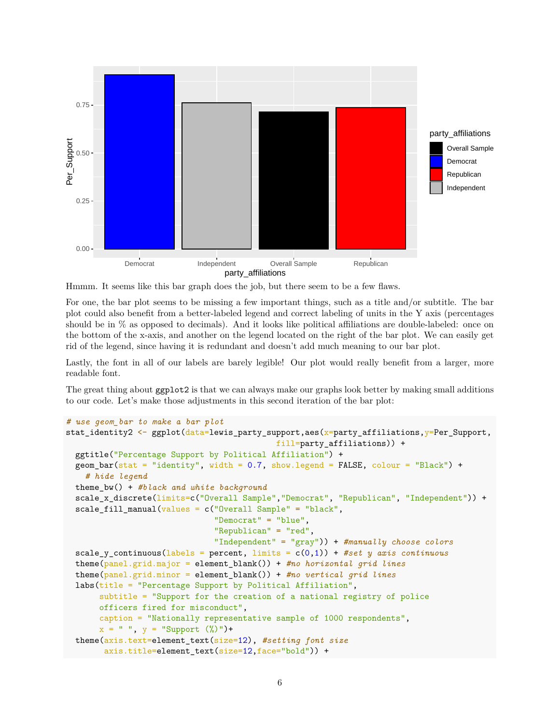

Hmmm. It seems like this bar graph does the job, but there seem to be a few flaws.

For one, the bar plot seems to be missing a few important things, such as a title and/or subtitle. The bar plot could also benefit from a better-labeled legend and correct labeling of units in the Y axis (percentages should be in % as opposed to decimals). And it looks like political affiliations are double-labeled: once on the bottom of the x-axis, and another on the legend located on the right of the bar plot. We can easily get rid of the legend, since having it is redundant and doesn't add much meaning to our bar plot.

Lastly, the font in all of our labels are barely legible! Our plot would really benefit from a larger, more readable font.

The great thing about ggplot2 is that we can always make our graphs look better by making small additions to our code. Let's make those adjustments in this second iteration of the bar plot:

```
# use geom_bar to make a bar plot
stat_identity2 <- ggplot(data=lewis_party_support,aes(x=party_affiliations,y=Per_Support,
                                            fill=party_affiliations)) +
  ggtitle("Percentage Support by Political Affiliation") +
  geom_bar(stat = "identity", width = 0.7, show.legend = FALSE, colour = "Black") +# hide legend
  theme_bw() + #black and white background
  scale_x_discrete(limits=c("Overall Sample","Democrat", "Republican", "Independent")) +
  scale_fill_manual(values = c("Overall Sample" = "black",
                               "Democrat" = "blue",
                               "Republican" = "red",
                               "Independent" = "gray")) + #manually choose colors
  scale_y_continuous(labels = percent, limits = c(0,1)) + #set y axis continuous
  theme(panel.grid.major = element_blank()) + #no horizontal grid lines
  theme(panel.grid.minor = element_blank()) + #no vertical grid lines
  labs(title = "Percentage Support by Political Affiliation",
      subtitle = "Support for the creation of a national registry of police
       officers fired for misconduct",
       caption = "Nationally representative sample of 1000 respondents",
       x = " " , y = "Support (%)") +theme(axis.text=element_text(size=12), #setting font size
        axis.title=element text(size=12,face="bold")) +
```